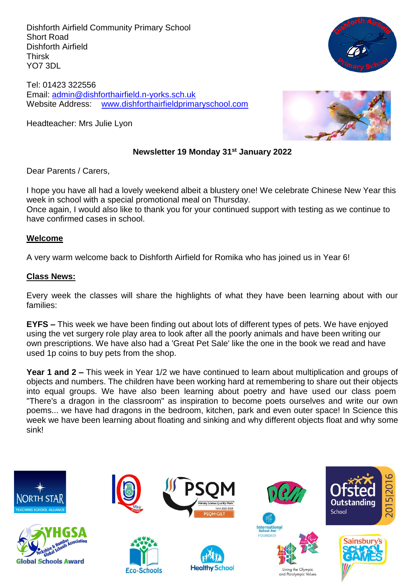Dishforth Airfield Community Primary School Short Road Dishforth Airfield Thirsk YO7 3DL

Tel: 01423 322556 Email: [admin@dishforthairfield.n-yorks.sch.uk](mailto:admin@dishforthairfield.n-yorks.sch.uk) Website Address: [www.dishforthairfieldprimaryschool.com](http://www.dishforthairfieldprimaryschool.com/)

Headteacher: Mrs Julie Lyon



### **Newsletter 19 Monday 31st January 2022**

Dear Parents / Carers,

I hope you have all had a lovely weekend albeit a blustery one! We celebrate Chinese New Year this week in school with a special promotional meal on Thursday.

Once again, I would also like to thank you for your continued support with testing as we continue to have confirmed cases in school.

#### **Welcome**

A very warm welcome back to Dishforth Airfield for Romika who has joined us in Year 6!

#### **Class News:**

Every week the classes will share the highlights of what they have been learning about with our families:

**EYFS –** This week we have been finding out about lots of different types of pets. We have enjoyed using the vet surgery role play area to look after all the poorly animals and have been writing our own prescriptions. We have also had a 'Great Pet Sale' like the one in the book we read and have used 1p coins to buy pets from the shop.

**Year 1 and 2 –** This week in Year 1/2 we have continued to learn about multiplication and groups of objects and numbers. The children have been working hard at remembering to share out their objects into equal groups. We have also been learning about poetry and have used our class poem "There's a dragon in the classroom" as inspiration to become poets ourselves and write our own poems... we have had dragons in the bedroom, kitchen, park and even outer space! In Science this week we have been learning about floating and sinking and why different objects float and why some sink!

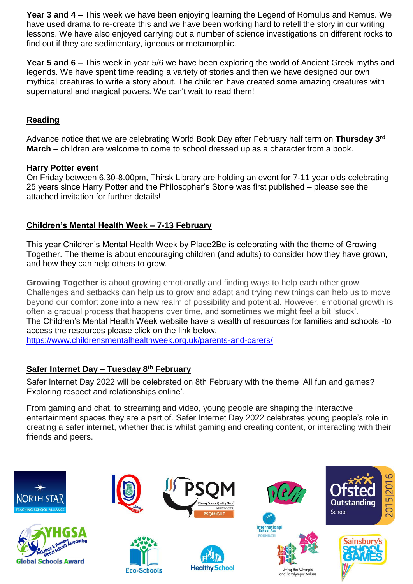**Year 3 and 4 –** This week we have been enjoying learning the Legend of Romulus and Remus. We have used drama to re-create this and we have been working hard to retell the story in our writing lessons. We have also enjoyed carrying out a number of science investigations on different rocks to find out if they are sedimentary, igneous or metamorphic.

**Year 5 and 6 –** This week in year 5/6 we have been exploring the world of Ancient Greek myths and legends. We have spent time reading a variety of stories and then we have designed our own mythical creatures to write a story about. The children have created some amazing creatures with supernatural and magical powers. We can't wait to read them!

## **Reading**

Advance notice that we are celebrating World Book Day after February half term on **Thursday 3rd March** – children are welcome to come to school dressed up as a character from a book.

### **Harry Potter event**

On Friday between 6.30-8.00pm, Thirsk Library are holding an event for 7-11 year olds celebrating 25 years since Harry Potter and the Philosopher's Stone was first published – please see the attached invitation for further details!

## **Children's Mental Health Week – 7-13 February**

This year Children's Mental Health Week by Place2Be is celebrating with the theme of Growing Together. The theme is about encouraging children (and adults) to consider how they have grown, and how they can help others to grow.

**Growing Together** is about growing emotionally and finding ways to help each other grow. Challenges and setbacks can help us to grow and adapt and trying new things can help us to move beyond our comfort zone into a new realm of possibility and potential. However, emotional growth is often a gradual process that happens over time, and sometimes we might feel a bit 'stuck'. The Children's Mental Health Week website have a wealth of resources for families and schools -to access the resources please click on the link below.

<https://www.childrensmentalhealthweek.org.uk/parents-and-carers/>

### **Safer Internet Day – Tuesday 8th February**

Safer Internet Day 2022 will be celebrated on 8th February with the theme 'All fun and games? Exploring respect and relationships online'.

From gaming and chat, to streaming and video, young people are shaping the interactive entertainment spaces they are a part of. Safer Internet Day 2022 celebrates young people's role in creating a safer internet, whether that is whilst gaming and creating content, or interacting with their friends and peers.

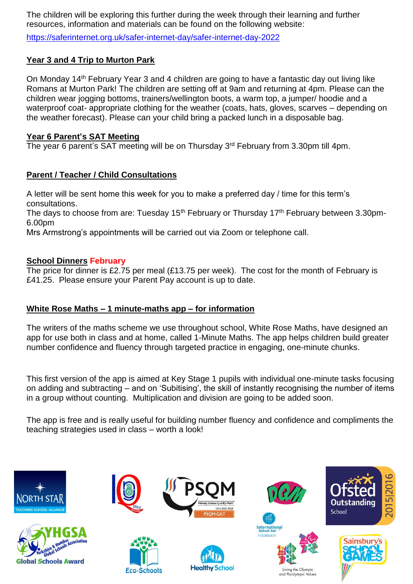The children will be exploring this further during the week through their learning and further resources, information and materials can be found on the following website:

<https://saferinternet.org.uk/safer-internet-day/safer-internet-day-2022>

## **Year 3 and 4 Trip to Murton Park**

On Monday 14<sup>th</sup> February Year 3 and 4 children are going to have a fantastic day out living like Romans at Murton Park! The children are setting off at 9am and returning at 4pm. Please can the children wear jogging bottoms, trainers/wellington boots, a warm top, a jumper/ hoodie and a waterproof coat- appropriate clothing for the weather (coats, hats, gloves, scarves – depending on the weather forecast). Please can your child bring a packed lunch in a disposable bag.

### **Year 6 Parent's SAT Meeting**

The year 6 parent's SAT meeting will be on Thursday 3rd February from 3.30pm till 4pm.

## **Parent / Teacher / Child Consultations**

A letter will be sent home this week for you to make a preferred day / time for this term's consultations.

The days to choose from are: Tuesday  $15<sup>th</sup>$  February or Thursday  $17<sup>th</sup>$  February between 3.30pm-6.00pm

Mrs Armstrong's appointments will be carried out via Zoom or telephone call.

### **School Dinners February**

The price for dinner is £2.75 per meal (£13.75 per week). The cost for the month of February is £41.25. Please ensure your Parent Pay account is up to date.

### **White Rose Maths – 1 minute-maths app – for information**

The writers of the maths scheme we use throughout school, White Rose Maths, have designed an app for use both in class and at home, called 1-Minute Maths. The app helps children build greater number confidence and fluency through targeted practice in engaging, one-minute chunks.

This first version of the app is aimed at Key Stage 1 pupils with individual one-minute tasks focusing on adding and subtracting – and on 'Subitising', the skill of instantly recognising the number of items in a group without counting. Multiplication and division are going to be added soon.

The app is free and is really useful for building number fluency and confidence and compliments the teaching strategies used in class – worth a look!

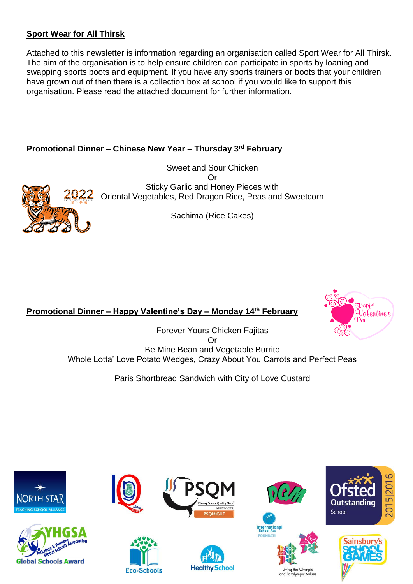## **Sport Wear for All Thirsk**

Attached to this newsletter is information regarding an organisation called Sport Wear for All Thirsk. The aim of the organisation is to help ensure children can participate in sports by loaning and swapping sports boots and equipment. If you have any sports trainers or boots that your children have grown out of then there is a collection box at school if you would like to support this organisation. Please read the attached document for further information.

## **Promotional Dinner – Chinese New Year – Thursday 3rd February**

Sweet and Sour Chicken Or Sticky Garlic and Honey Pieces with Oriental Vegetables, Red Dragon Rice, Peas and Sweetcorn

Sachima (Rice Cakes)

# **Promotional Dinner – Happy Valentine's Day – Monday 14th February**

Forever Yours Chicken Fajitas Or Be Mine Bean and Vegetable Burrito Whole Lotta' Love Potato Wedges, Crazy About You Carrots and Perfect Peas

Paris Shortbread Sandwich with City of Love Custard





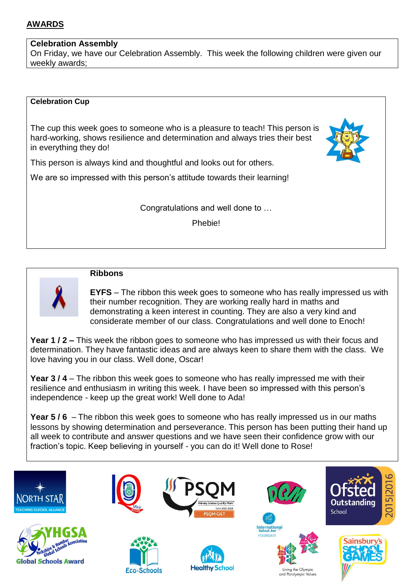## **AWARDS**

### **Celebration Assembly**

On Friday, we have our Celebration Assembly. This week the following children were given our weekly awards;

#### **Celebration Cup**

The cup this week goes to someone who is a pleasure to teach! This person is hard-working, shows resilience and determination and always tries their best in everything they do!



This person is always kind and thoughtful and looks out for others.

We are so impressed with this person's attitude towards their learning!

Congratulations and well done to …

Phebie!



### **Ribbons**

**EYFS** – The ribbon this week goes to someone who has really impressed us with their number recognition. They are working really hard in maths and demonstrating a keen interest in counting. They are also a very kind and considerate member of our class. Congratulations and well done to Enoch!

**Year 1 / 2 –** This week the ribbon goes to someone who has impressed us with their focus and determination. They have fantastic ideas and are always keen to share them with the class. We love having you in our class. Well done, Oscar!

**Year 3 / 4** – The ribbon this week goes to someone who has really impressed me with their resilience and enthusiasm in writing this week. I have been so impressed with this person's independence - keep up the great work! Well done to Ada!

**Year 5 / 6** – The ribbon this week goes to someone who has really impressed us in our maths lessons by showing determination and perseverance. This person has been putting their hand up all week to contribute and answer questions and we have seen their confidence grow with our fraction's topic. Keep believing in yourself - you can do it! Well done to Rose!

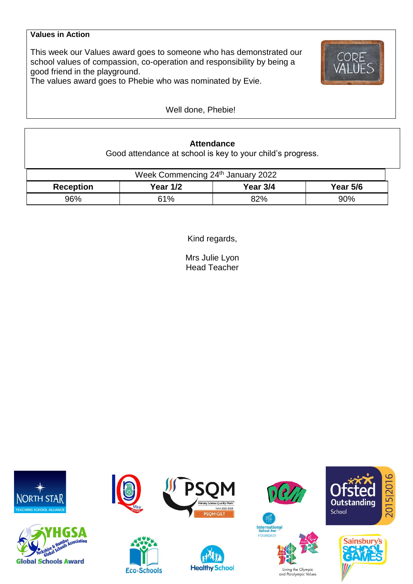### **Values in Action**

This week our Values award goes to someone who has demonstrated our school values of compassion, co-operation and responsibility by being a good friend in the playground.



The values award goes to Phebie who was nominated by Evie.

Well done, Phebie!

## **Attendance**

Good attendance at school is key to your child's progress.

| Week Commencing 24th January 2022 |          |          |                 |  |  |  |
|-----------------------------------|----------|----------|-----------------|--|--|--|
| <b>Reception</b>                  | Year 1/2 | Year 3/4 | <b>Year 5/6</b> |  |  |  |
| 96%                               | 61%      | 82%      | 90%             |  |  |  |

Kind regards,

Mrs Julie Lyon Head Teacher